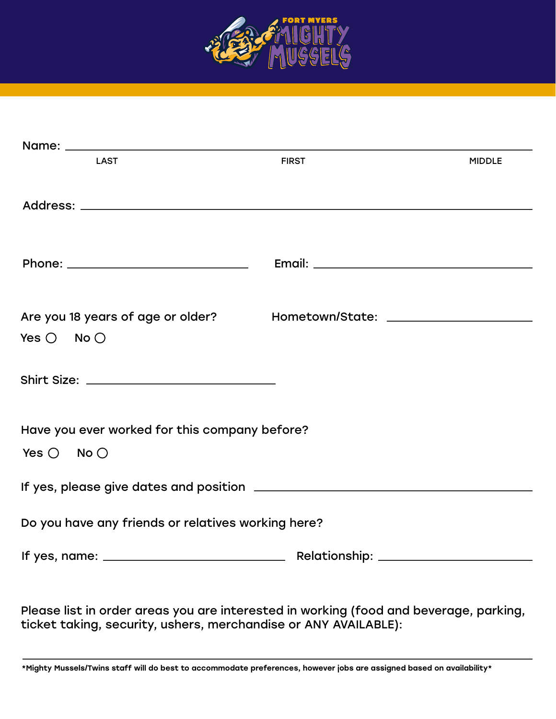

| <b>LAST</b>                                        | <b>FIRST</b> | <b>MIDDLE</b> |  |  |
|----------------------------------------------------|--------------|---------------|--|--|
|                                                    |              |               |  |  |
|                                                    |              |               |  |  |
|                                                    |              |               |  |  |
|                                                    |              |               |  |  |
|                                                    |              |               |  |  |
|                                                    |              |               |  |  |
| Are you 18 years of age or older?                  |              |               |  |  |
| Yes $\bigcirc$ No $\bigcirc$                       |              |               |  |  |
|                                                    |              |               |  |  |
|                                                    |              |               |  |  |
|                                                    |              |               |  |  |
|                                                    |              |               |  |  |
| Have you ever worked for this company before?      |              |               |  |  |
| Yes $\bigcirc$ No $\bigcirc$                       |              |               |  |  |
|                                                    |              |               |  |  |
|                                                    |              |               |  |  |
| Do you have any friends or relatives working here? |              |               |  |  |
|                                                    |              |               |  |  |
|                                                    |              |               |  |  |
|                                                    |              |               |  |  |

Please list in order areas you are interested in working (food and beverage, parking, ticket taking, security, ushers, merchandise or ANY AVAILABLE):

\*Mighty Mussels/Twins staff will do best to accommodate preferences, however jobs are assigned based on availability\*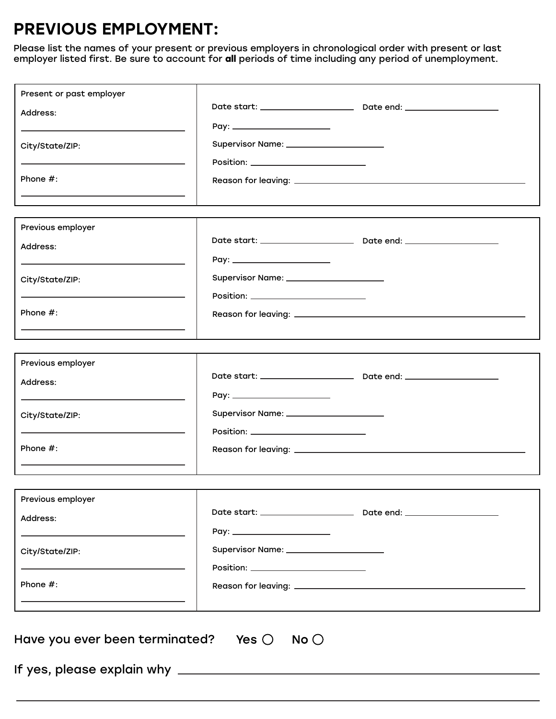## PREVIOUS EMPLOYMENT:

Please list the names of your present or previous employers in chronological order with present or last employer listed first. Be sure to account for **all** periods of time including any period of unemployment.

| Present or past employer |                                            |  |
|--------------------------|--------------------------------------------|--|
|                          |                                            |  |
| Address:                 |                                            |  |
| City/State/ZIP:          | Supervisor Name: _______________________   |  |
|                          | Position: ___________________________      |  |
| Phone $#$ :              |                                            |  |
|                          |                                            |  |
|                          |                                            |  |
| Previous employer        |                                            |  |
| Address:                 |                                            |  |
|                          | Pay: __________________________            |  |
| City/State/ZIP:          | Supervisor Name: ______________________    |  |
|                          | Position: ____________________________     |  |
| Phone $#$ :              |                                            |  |
|                          |                                            |  |
|                          |                                            |  |
| Previous employer        |                                            |  |
| Address:                 |                                            |  |
|                          |                                            |  |
| City/State/ZIP:          | Supervisor Name: ______________________    |  |
|                          | Position: ________________________________ |  |
| Phone $#$ :              |                                            |  |
|                          |                                            |  |
|                          |                                            |  |
| Previous employer        |                                            |  |
| Address:                 |                                            |  |
|                          |                                            |  |
| City/State/ZIP:          | Supervisor Name: _______________________   |  |
|                          | Position: ___________________________      |  |
| Phone #:                 |                                            |  |
|                          |                                            |  |
|                          |                                            |  |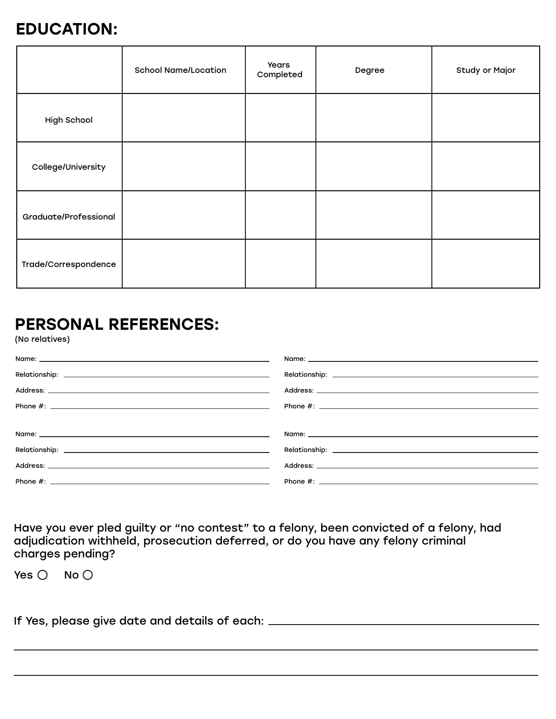## EDUCATION:

|                       | <b>School Name/Location</b> | Years<br>Completed | Degree | Study or Major |
|-----------------------|-----------------------------|--------------------|--------|----------------|
| <b>High School</b>    |                             |                    |        |                |
| College/University    |                             |                    |        |                |
| Graduate/Professional |                             |                    |        |                |
| Trade/Correspondence  |                             |                    |        |                |

## PERSONAL REFERENCES:

(No relatives)

| Address: the contract of the contract of the contract of the contract of the contract of the contract of the contract of the contract of the contract of the contract of the contract of the contract of the contract of the c |  |
|--------------------------------------------------------------------------------------------------------------------------------------------------------------------------------------------------------------------------------|--|
|                                                                                                                                                                                                                                |  |

Have you ever pled guilty or "no contest" to a felony, been convicted of a felony, had adjudication withheld, prosecution deferred, or do you have any felony criminal charges pending?

Yes  $\bigcap$  No  $\bigcap$ 

If Yes, please give date and details of each: